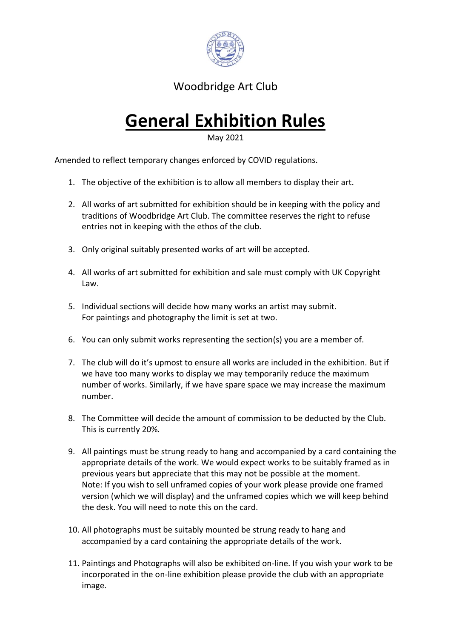

Woodbridge Art Club

# **General Exhibition Rules**

May 2021

Amended to reflect temporary changes enforced by COVID regulations.

- 1. The objective of the exhibition is to allow all members to display their art.
- 2. All works of art submitted for exhibition should be in keeping with the policy and traditions of Woodbridge Art Club. The committee reserves the right to refuse entries not in keeping with the ethos of the club.
- 3. Only original suitably presented works of art will be accepted.
- 4. All works of art submitted for exhibition and sale must comply with UK Copyright Law.
- 5. Individual sections will decide how many works an artist may submit. For paintings and photography the limit is set at two.
- 6. You can only submit works representing the section(s) you are a member of.
- 7. The club will do it's upmost to ensure all works are included in the exhibition. But if we have too many works to display we may temporarily reduce the maximum number of works. Similarly, if we have spare space we may increase the maximum number.
- 8. The Committee will decide the amount of commission to be deducted by the Club. This is currently 20%.
- 9. All paintings must be strung ready to hang and accompanied by a card containing the appropriate details of the work. We would expect works to be suitably framed as in previous years but appreciate that this may not be possible at the moment. Note: If you wish to sell unframed copies of your work please provide one framed version (which we will display) and the unframed copies which we will keep behind the desk. You will need to note this on the card.
- 10. All photographs must be suitably mounted be strung ready to hang and accompanied by a card containing the appropriate details of the work.
- 11. Paintings and Photographs will also be exhibited on-line. If you wish your work to be incorporated in the on-line exhibition please provide the club with an appropriate image.